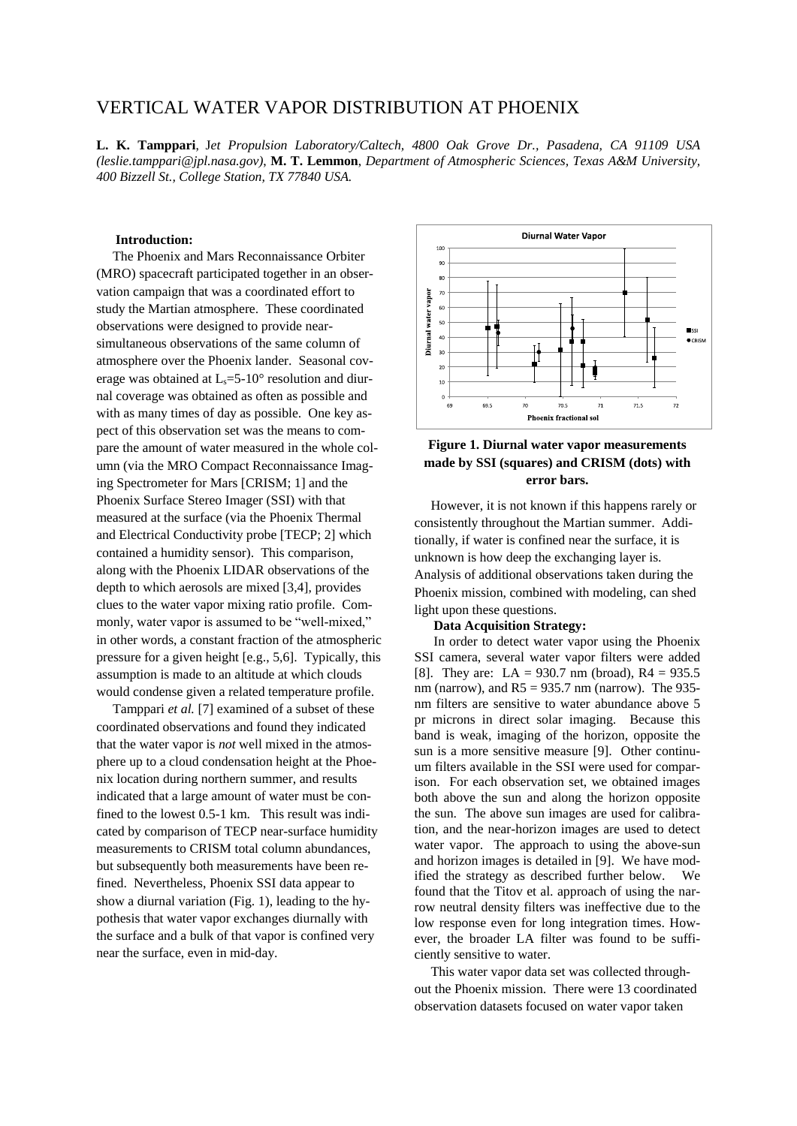# VERTICAL WATER VAPOR DISTRIBUTION AT PHOENIX

**L. K. Tamppari**, J*et Propulsion Laboratory/Caltech, 4800 Oak Grove Dr., Pasadena, CA 91109 USA (leslie.tamppari@jpl.nasa.gov)*, **M. T. Lemmon**, *Department of Atmospheric Sciences, Texas A&M University, 400 Bizzell St., College Station, TX 77840 USA.*

# **Introduction:**

The Phoenix and Mars Reconnaissance Orbiter (MRO) spacecraft participated together in an observation campaign that was a coordinated effort to study the Martian atmosphere. These coordinated observations were designed to provide nearsimultaneous observations of the same column of atmosphere over the Phoenix lander. Seasonal coverage was obtained at  $L<sub>s</sub>=5-10<sup>o</sup>$  resolution and diurnal coverage was obtained as often as possible and with as many times of day as possible. One key aspect of this observation set was the means to compare the amount of water measured in the whole column (via the MRO Compact Reconnaissance Imaging Spectrometer for Mars [CRISM; 1] and the Phoenix Surface Stereo Imager (SSI) with that measured at the surface (via the Phoenix Thermal and Electrical Conductivity probe [TECP; 2] which contained a humidity sensor). This comparison, along with the Phoenix LIDAR observations of the depth to which aerosols are mixed [3,4], provides clues to the water vapor mixing ratio profile. Commonly, water vapor is assumed to be "well-mixed," in other words, a constant fraction of the atmospheric pressure for a given height [e.g., 5,6]. Typically, this assumption is made to an altitude at which clouds would condense given a related temperature profile.

Tamppari *et al.* [7] examined of a subset of these coordinated observations and found they indicated that the water vapor is *not* well mixed in the atmosphere up to a cloud condensation height at the Phoenix location during northern summer, and results indicated that a large amount of water must be confined to the lowest 0.5-1 km. This result was indicated by comparison of TECP near-surface humidity measurements to CRISM total column abundances, but subsequently both measurements have been refined. Nevertheless, Phoenix SSI data appear to show a diurnal variation (Fig. 1), leading to the hypothesis that water vapor exchanges diurnally with the surface and a bulk of that vapor is confined very near the surface, even in mid-day.





However, it is not known if this happens rarely or consistently throughout the Martian summer. Additionally, if water is confined near the surface, it is unknown is how deep the exchanging layer is. Analysis of additional observations taken during the Phoenix mission, combined with modeling, can shed light upon these questions.

#### **Data Acquisition Strategy:**

In order to detect water vapor using the Phoenix SSI camera, several water vapor filters were added [8]. They are:  $LA = 930.7$  nm (broad),  $R4 = 935.5$ nm (narrow), and  $R5 = 935.7$  nm (narrow). The 935nm filters are sensitive to water abundance above 5 pr microns in direct solar imaging. Because this band is weak, imaging of the horizon, opposite the sun is a more sensitive measure [9]. Other continuum filters available in the SSI were used for comparison. For each observation set, we obtained images both above the sun and along the horizon opposite the sun. The above sun images are used for calibration, and the near-horizon images are used to detect water vapor. The approach to using the above-sun and horizon images is detailed in [9]. We have modified the strategy as described further below. We found that the Titov et al. approach of using the narrow neutral density filters was ineffective due to the low response even for long integration times. However, the broader LA filter was found to be sufficiently sensitive to water.

This water vapor data set was collected throughout the Phoenix mission. There were 13 coordinated observation datasets focused on water vapor taken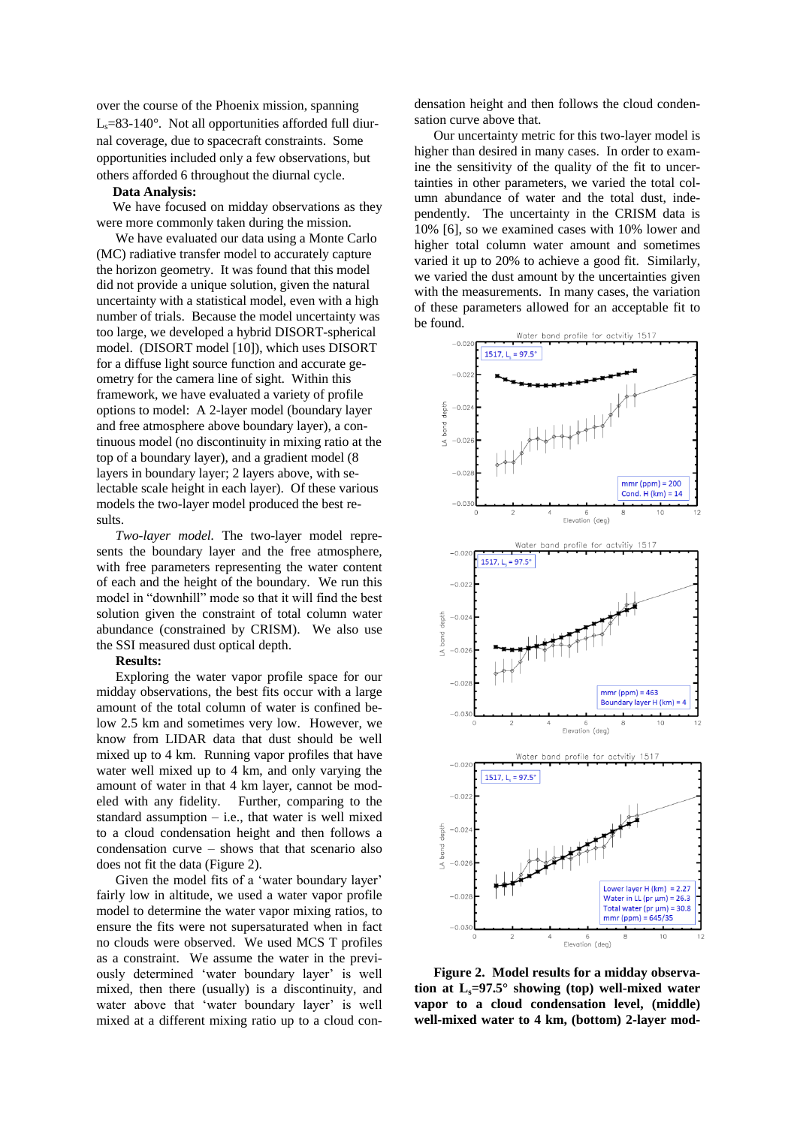over the course of the Phoenix mission, spanning  $L_s = 83-140^\circ$ . Not all opportunities afforded full diurnal coverage, due to spacecraft constraints. Some opportunities included only a few observations, but others afforded 6 throughout the diurnal cycle.

#### **Data Analysis:**

We have focused on midday observations as they were more commonly taken during the mission.

We have evaluated our data using a Monte Carlo (MC) radiative transfer model to accurately capture the horizon geometry. It was found that this model did not provide a unique solution, given the natural uncertainty with a statistical model, even with a high number of trials. Because the model uncertainty was too large, we developed a hybrid DISORT-spherical model. (DISORT model [10]), which uses DISORT for a diffuse light source function and accurate geometry for the camera line of sight. Within this framework, we have evaluated a variety of profile options to model: A 2-layer model (boundary layer and free atmosphere above boundary layer), a continuous model (no discontinuity in mixing ratio at the top of a boundary layer), and a gradient model (8 layers in boundary layer; 2 layers above, with selectable scale height in each layer). Of these various models the two-layer model produced the best results.

*Two-layer model.* The two-layer model represents the boundary layer and the free atmosphere, with free parameters representing the water content of each and the height of the boundary. We run this model in "downhill" mode so that it will find the best solution given the constraint of total column water abundance (constrained by CRISM). We also use the SSI measured dust optical depth.

#### **Results:**

Exploring the water vapor profile space for our midday observations, the best fits occur with a large amount of the total column of water is confined below 2.5 km and sometimes very low. However, we know from LIDAR data that dust should be well mixed up to 4 km. Running vapor profiles that have water well mixed up to 4 km, and only varying the amount of water in that 4 km layer, cannot be modeled with any fidelity. Further, comparing to the standard assumption  $-$  i.e., that water is well mixed to a cloud condensation height and then follows a condensation curve – shows that that scenario also does not fit the data (Figure 2).

Given the model fits of a 'water boundary layer' fairly low in altitude, we used a water vapor profile model to determine the water vapor mixing ratios, to ensure the fits were not supersaturated when in fact no clouds were observed. We used MCS T profiles as a constraint. We assume the water in the previously determined 'water boundary layer' is well mixed, then there (usually) is a discontinuity, and water above that 'water boundary layer' is well mixed at a different mixing ratio up to a cloud condensation height and then follows the cloud condensation curve above that.

Our uncertainty metric for this two-layer model is higher than desired in many cases. In order to examine the sensitivity of the quality of the fit to uncertainties in other parameters, we varied the total column abundance of water and the total dust, independently. The uncertainty in the CRISM data is 10% [6], so we examined cases with 10% lower and higher total column water amount and sometimes varied it up to 20% to achieve a good fit. Similarly, we varied the dust amount by the uncertainties given with the measurements. In many cases, the variation of these parameters allowed for an acceptable fit to be found.



**Figure 2. Model results for a midday observation at Ls=97.5° showing (top) well-mixed water vapor to a cloud condensation level, (middle) well-mixed water to 4 km, (bottom) 2-layer mod-**